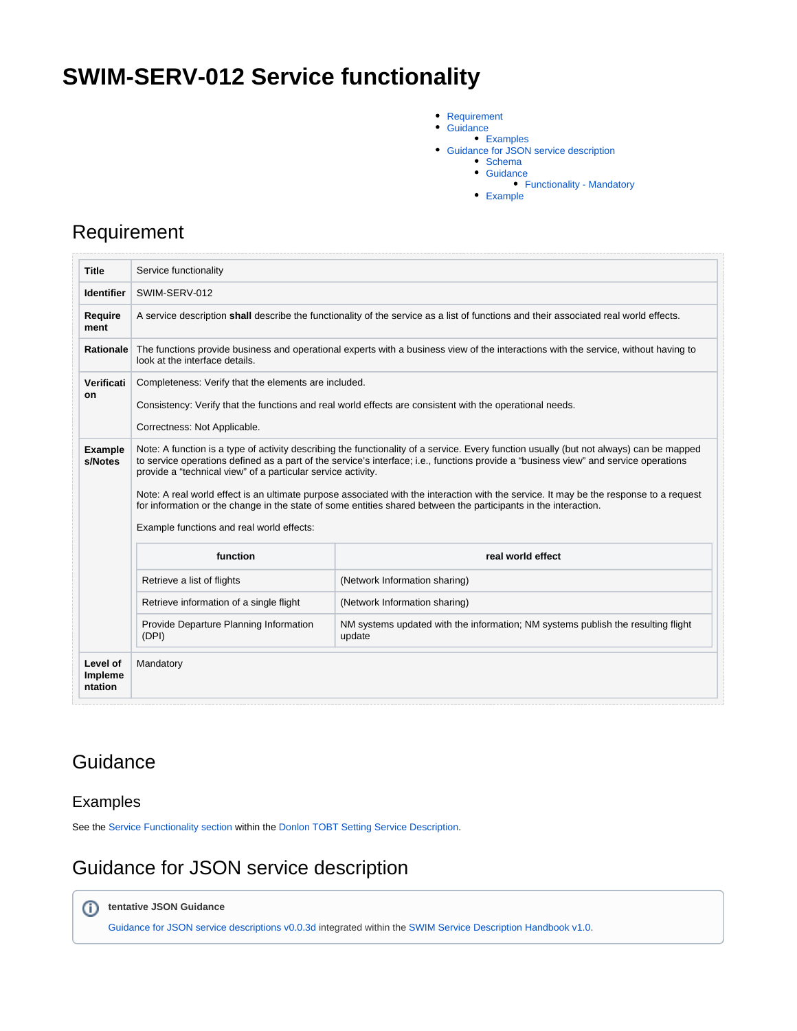# **SWIM-SERV-012 Service functionality**

- [Requirement](#page-0-0)  $\bullet$ 
	- **[Guidance](#page-0-1)**
	- [Examples](#page-0-2)
- Guidance for JSON service description
	- [Schema](#page-0-4)
		- **[Guidance](#page-1-0)** [Functionality - Mandatory](#page-2-0)
		- **[Example](#page-2-1)**

### <span id="page-0-0"></span>Requirement

| <b>Title</b>              | Service functionality                                                                                                                                                                                                                                                                                                                                                                                                                                                                                                                                                                                                                                     |                                                                                            |  |  |  |  |
|---------------------------|-----------------------------------------------------------------------------------------------------------------------------------------------------------------------------------------------------------------------------------------------------------------------------------------------------------------------------------------------------------------------------------------------------------------------------------------------------------------------------------------------------------------------------------------------------------------------------------------------------------------------------------------------------------|--------------------------------------------------------------------------------------------|--|--|--|--|
| <b>Identifier</b>         | SWIM-SERV-012                                                                                                                                                                                                                                                                                                                                                                                                                                                                                                                                                                                                                                             |                                                                                            |  |  |  |  |
| <b>Require</b><br>ment    | A service description shall describe the functionality of the service as a list of functions and their associated real world effects.                                                                                                                                                                                                                                                                                                                                                                                                                                                                                                                     |                                                                                            |  |  |  |  |
| <b>Rationale</b>          | The functions provide business and operational experts with a business view of the interactions with the service, without having to<br>look at the interface details.                                                                                                                                                                                                                                                                                                                                                                                                                                                                                     |                                                                                            |  |  |  |  |
| Verificati                | Completeness: Verify that the elements are included.                                                                                                                                                                                                                                                                                                                                                                                                                                                                                                                                                                                                      |                                                                                            |  |  |  |  |
| on                        | Consistency: Verify that the functions and real world effects are consistent with the operational needs.                                                                                                                                                                                                                                                                                                                                                                                                                                                                                                                                                  |                                                                                            |  |  |  |  |
|                           | Correctness: Not Applicable.                                                                                                                                                                                                                                                                                                                                                                                                                                                                                                                                                                                                                              |                                                                                            |  |  |  |  |
| <b>Example</b><br>s/Notes | Note: A function is a type of activity describing the functionality of a service. Every function usually (but not always) can be mapped<br>to service operations defined as a part of the service's interface; i.e., functions provide a "business view" and service operations<br>provide a "technical view" of a particular service activity.<br>Note: A real world effect is an ultimate purpose associated with the interaction with the service. It may be the response to a request<br>for information or the change in the state of some entities shared between the participants in the interaction.<br>Example functions and real world effects: |                                                                                            |  |  |  |  |
|                           | function                                                                                                                                                                                                                                                                                                                                                                                                                                                                                                                                                                                                                                                  | real world effect                                                                          |  |  |  |  |
|                           | Retrieve a list of flights                                                                                                                                                                                                                                                                                                                                                                                                                                                                                                                                                                                                                                | (Network Information sharing)                                                              |  |  |  |  |
|                           | Retrieve information of a single flight                                                                                                                                                                                                                                                                                                                                                                                                                                                                                                                                                                                                                   | (Network Information sharing)                                                              |  |  |  |  |
|                           | Provide Departure Planning Information<br>(DPI)                                                                                                                                                                                                                                                                                                                                                                                                                                                                                                                                                                                                           | NM systems updated with the information; NM systems publish the resulting flight<br>update |  |  |  |  |
| Level of<br>Impleme       | Mandatory                                                                                                                                                                                                                                                                                                                                                                                                                                                                                                                                                                                                                                                 |                                                                                            |  |  |  |  |

### <span id="page-0-1"></span>**Guidance**

### <span id="page-0-2"></span>Examples

See the [Service Functionality section](https://ext.eurocontrol.int/swim_confluence/display/SWIM/Donlon+TOBT+Setting+Service+Description#DonlonTOBTSettingServiceDescription-ServiceFunctionality) within the [Donlon TOBT Setting Service Description](https://ext.eurocontrol.int/swim_confluence/display/SWIM/Donlon+TOBT+Setting+Service+Description).

## <span id="page-0-3"></span>Guidance for JSON service description

<span id="page-0-4"></span>**tentative JSON Guidance**

[Guidance for JSON service descriptions v0.0.3d](https://ext.eurocontrol.int/swim_confluence/display/SWIM/Guidance+for+JSON+service+descriptions+v0.0.3d) integrated within the [SWIM Service Description Handbook v1.0.](https://ext.eurocontrol.int/swim_confluence/display/SWIM/SWIM+Service+Description+Handbook+v1.0)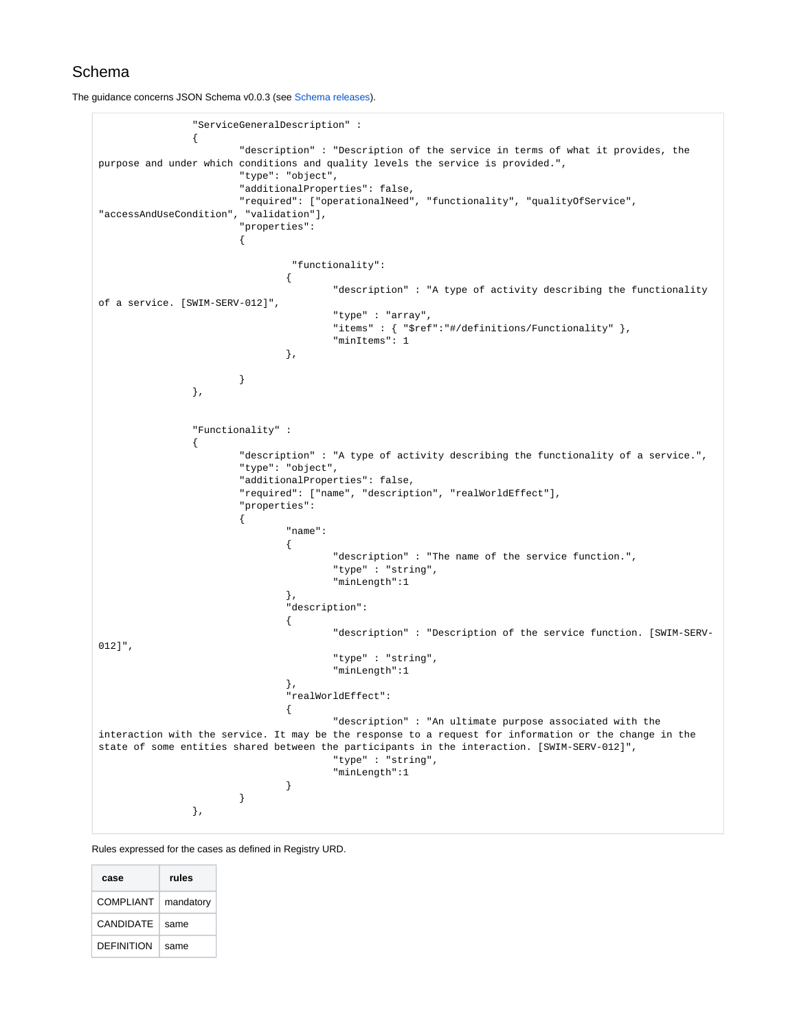

#### Schema

The guidance concerns JSON Schema v0.0.3 (see [Schema releases](https://ext.eurocontrol.int/swim_confluence/display/SCOI/Schema+releases)).

```
 "ServiceGeneralDescription" : 
\{ "description" : "Description of the service in terms of what it provides, the 
purpose and under which conditions and quality levels the service is provided.",
                      "type": "object",
                      "additionalProperties": false,
                      "required": ["operationalNeed", "functionality", "qualityOfService", 
"accessAndUseCondition", "validation"],
                      "properties":
\{ "functionality":
 {
                                    "description" : "A type of activity describing the functionality 
of a service. [SWIM-SERV-012]",
                                    "type" : "array",
                                   \verb|"items" \; : \; \{\; \; "$ref": "#/definitions/Functionality" \; \} \, , "minItems": 1
\} , we have the contract of \} ,
 }
               },
               "Functionality" : 
\{ "description" : "A type of activity describing the functionality of a service.",
                      "type": "object",
                      "additionalProperties": false,
                      "required": ["name", "description", "realWorldEffect"],
                      "properties":
\{ "name":
 {
                                    "description" : "The name of the service function.",
                                    "type" : "string",
                                    "minLength":1
\} , we have the contract of \} ,
                             "description":
 {
                                    "description" : "Description of the service function. [SWIM-SERV-
012]",
                                    "type" : "string",
                                    "minLength":1
\} , we have the contract of \} ,
                             "realWorldEffect":
 {
                                    "description" : "An ultimate purpose associated with the 
interaction with the service. It may be the response to a request for information or the change in the 
state of some entities shared between the participants in the interaction. [SWIM-SERV-012]",
                                    "type" : "string",
                                    "minLength":1
 }
 }
               },
```
Rules expressed for the cases as defined in Registry URD.

<span id="page-1-0"></span>

| case              | rules     |
|-------------------|-----------|
| COMPLIANT         | mandatory |
| CANDIDATF         | same      |
| <b>DEFINITION</b> | same      |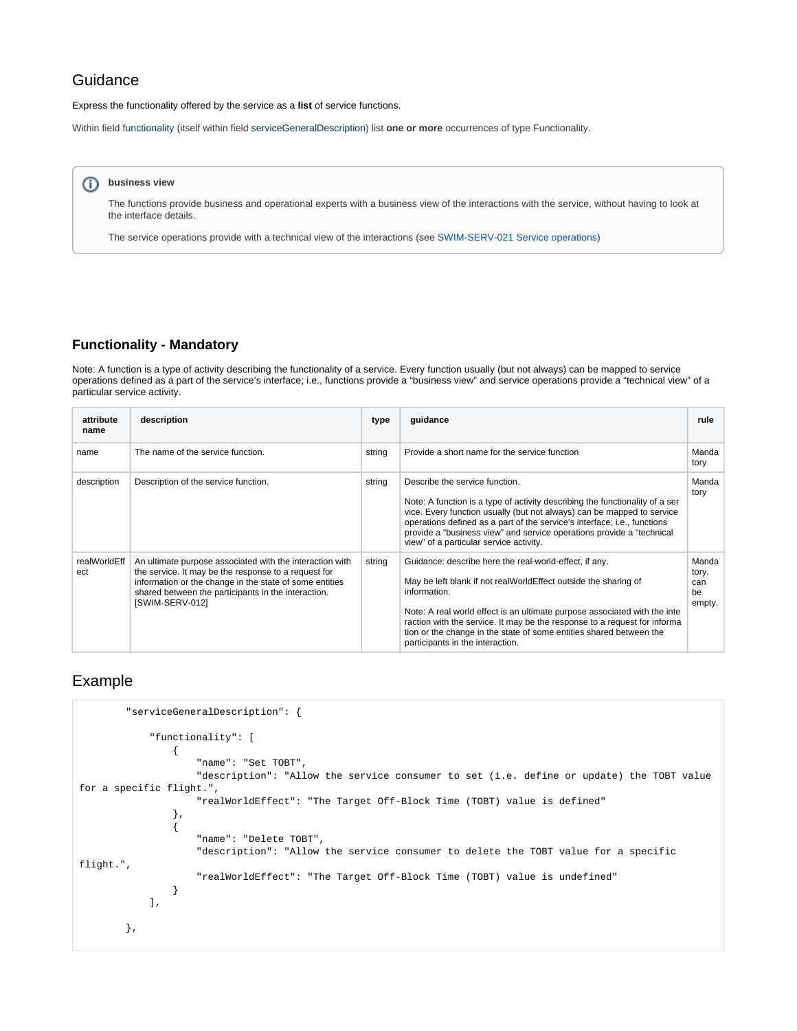#### Guidance

Express the functionality offered by the service as a **list** of service functions.

Within field functionality (itself within field serviceGeneralDescription) list **one or more** occurrences of type Functionality.

#### ⊕ **business view**

The functions provide business and operational experts with a business view of the interactions with the service, without having to look at the interface details.

The service operations provide with a technical view of the interactions (see [SWIM-SERV-021 Service operations\)](https://ext.eurocontrol.int/swim_confluence/display/SWIM/SWIM-SERV-021+Service+operations)

#### <span id="page-2-0"></span>**Functionality - Mandatory**

Note: A function is a type of activity describing the functionality of a service. Every function usually (but not always) can be mapped to service operations defined as a part of the service's interface; i.e., functions provide a "business view" and service operations provide a "technical view" of a particular service activity.

| attribute<br>name   | description                                                                                                                                                                                                                                           | type   | guidance                                                                                                                                                                                                                                                                                                                                                                                                       | rule                                  |
|---------------------|-------------------------------------------------------------------------------------------------------------------------------------------------------------------------------------------------------------------------------------------------------|--------|----------------------------------------------------------------------------------------------------------------------------------------------------------------------------------------------------------------------------------------------------------------------------------------------------------------------------------------------------------------------------------------------------------------|---------------------------------------|
| name                | The name of the service function.                                                                                                                                                                                                                     | string | Provide a short name for the service function                                                                                                                                                                                                                                                                                                                                                                  | Manda<br>tory                         |
| description         | Description of the service function.                                                                                                                                                                                                                  | string | Describe the service function.<br>Note: A function is a type of activity describing the functionality of a ser<br>vice. Every function usually (but not always) can be mapped to service<br>operations defined as a part of the service's interface; i.e., functions<br>provide a "business view" and service operations provide a "technical<br>view" of a particular service activity.                       | Manda<br>tory                         |
| realWorldEff<br>ect | An ultimate purpose associated with the interaction with<br>the service. It may be the response to a request for<br>information or the change in the state of some entities<br>shared between the participants in the interaction.<br>[SWIM-SERV-012] | string | Guidance: describe here the real-world-effect, if any.<br>May be left blank if not realWorldEffect outside the sharing of<br>information.<br>Note: A real world effect is an ultimate purpose associated with the inte<br>raction with the service. It may be the response to a request for informa<br>tion or the change in the state of some entities shared between the<br>participants in the interaction. | Manda<br>tory,<br>can<br>be<br>empty. |

#### <span id="page-2-1"></span>Example

```
 "serviceGeneralDescription": {
            "functionality": [
\{ "name": "Set TOBT",
                    "description": "Allow the service consumer to set (i.e. define or update) the TOBT value 
for a specific flight.",
                    "realWorldEffect": "The Target Off-Block Time (TOBT) value is defined"
                },
\{ "name": "Delete TOBT",
                    "description": "Allow the service consumer to delete the TOBT value for a specific 
flight.",
                    "realWorldEffect": "The Target Off-Block Time (TOBT) value is undefined"
 }
            ],
        },
```